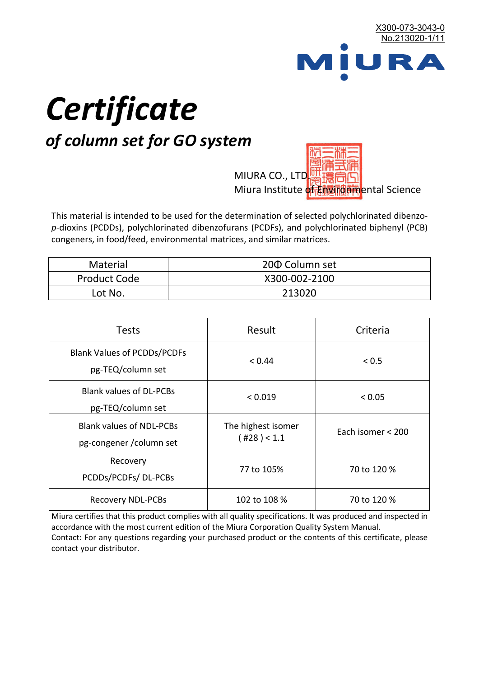

# *Certificate*

## *of column set for GO system*

MIURA CO., LTD. Miura Institute of 正版而解ental Science

This material is intended to be used for the determination of selected polychlorinated dibenzo*p*-dioxins (PCDDs), polychlorinated dibenzofurans (PCDFs), and polychlorinated biphenyl (PCB) congeners, in food/feed, environmental matrices, and similar matrices.

| <b>Material</b>     | 200 Column set |  |
|---------------------|----------------|--|
| <b>Product Code</b> | X300-002-2100  |  |
| Lot No.             | 213020         |  |

| <b>Tests</b>                                                | Result                            | Criteria          |  |
|-------------------------------------------------------------|-----------------------------------|-------------------|--|
| <b>Blank Values of PCDDs/PCDFs</b><br>pg-TEQ/column set     | < 0.44                            | < 0.5             |  |
| <b>Blank values of DL-PCBs</b><br>pg-TEQ/column set         | < 0.019                           | < 0.05            |  |
| <b>Blank values of NDL-PCBs</b><br>pg-congener / column set | The highest isomer<br>(428) < 1.1 | Each isomer < 200 |  |
| Recovery<br>PCDDs/PCDFs/DL-PCBs                             | 77 to 105%                        | 70 to 120 %       |  |
| <b>Recovery NDL-PCBs</b>                                    | 102 to 108 %                      | 70 to 120 %       |  |

Miura certifies that this product complies with all quality specifications. It was produced and inspected in accordance with the most current edition of the Miura Corporation Quality System Manual. Contact: For any questions regarding your purchased product or the contents of this certificate, please contact your distributor.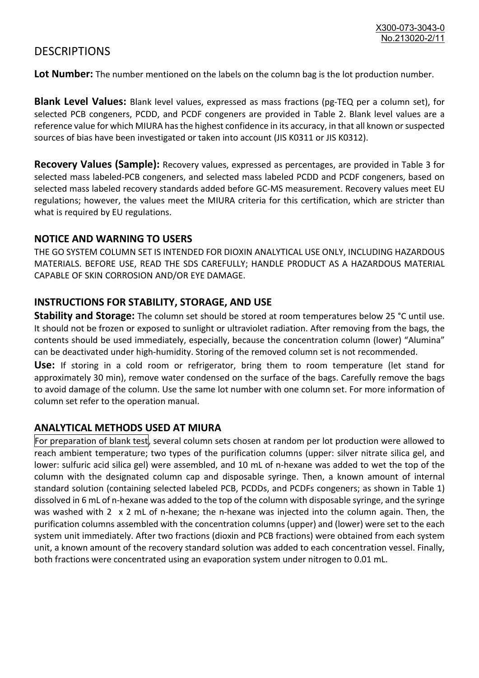### **DESCRIPTIONS**

**Lot Number:** The number mentioned on the labels on the column bag is the lot production number.

**Blank Level Values:** Blank level values, expressed as mass fractions (pg-TEQ per a column set), for selected PCB congeners, PCDD, and PCDF congeners are provided in Table 2. Blank level values are a reference value for which MIURA has the highest confidence in its accuracy, in that all known or suspected sources of bias have been investigated or taken into account (JIS K0311 or JIS K0312).

**Recovery Values (Sample):** Recovery values, expressed as percentages, are provided in Table 3 for selected mass labeled-PCB congeners, and selected mass labeled PCDD and PCDF congeners, based on selected mass labeled recovery standards added before GC-MS measurement. Recovery values meet EU regulations; however, the values meet the MIURA criteria for this certification, which are stricter than what is required by EU regulations.

#### **NOTICE AND WARNING TO USERS**

THE GO SYSTEM COLUMN SET IS INTENDED FOR DIOXIN ANALYTICAL USE ONLY, INCLUDING HAZARDOUS MATERIALS. BEFORE USE, READ THE SDS CAREFULLY; HANDLE PRODUCT AS A HAZARDOUS MATERIAL CAPABLE OF SKIN CORROSION AND/OR EYE DAMAGE.

#### **INSTRUCTIONS FOR STABILITY, STORAGE, AND USE**

**Stability and Storage:** The column set should be stored at room temperatures below 25 °C until use. It should not be frozen or exposed to sunlight or ultraviolet radiation. After removing from the bags, the contents should be used immediately, especially, because the concentration column (lower) "Alumina" can be deactivated under high-humidity. Storing of the removed column set is not recommended.

**Use:** If storing in a cold room or refrigerator, bring them to room temperature (let stand for approximately 30 min), remove water condensed on the surface of the bags. Carefully remove the bags to avoid damage of the column. Use the same lot number with one column set. For more information of column set refer to the operation manual.

#### **ANALYTICAL METHODS USED AT MIURA**

For preparation of blank test, several column sets chosen at random per lot production were allowed to reach ambient temperature; two types of the purification columns (upper: silver nitrate silica gel, and lower: sulfuric acid silica gel) were assembled, and 10 mL of n-hexane was added to wet the top of the column with the designated column cap and disposable syringe. Then, a known amount of internal standard solution (containing selected labeled PCB, PCDDs, and PCDFs congeners; as shown in Table 1) dissolved in 6 mL of n-hexane was added to the top of the column with disposable syringe, and the syringe was washed with 2 x 2 mL of n-hexane; the n-hexane was injected into the column again. Then, the purification columns assembled with the concentration columns (upper) and (lower) were set to the each system unit immediately. After two fractions (dioxin and PCB fractions) were obtained from each system unit, a known amount of the recovery standard solution was added to each concentration vessel. Finally, both fractions were concentrated using an evaporation system under nitrogen to 0.01 mL.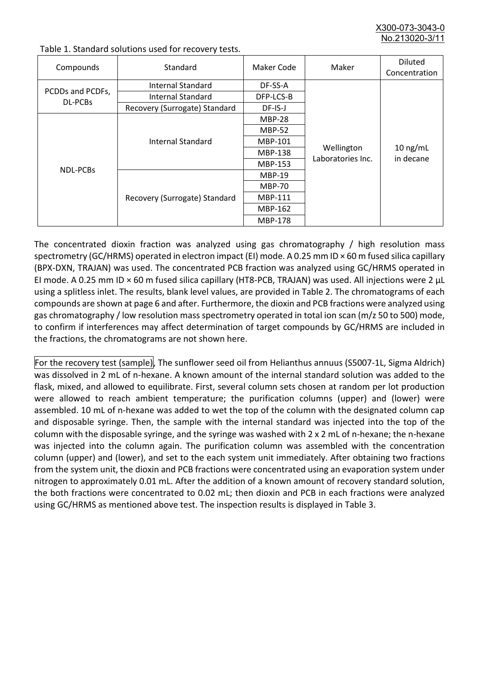X300-073-3043-0 No.213020-3/

| Compounds                          | Standard                      | Maker Code     | Maker                           | <b>Diluted</b><br>Concentration |
|------------------------------------|-------------------------------|----------------|---------------------------------|---------------------------------|
| PCDDs and PCDFs,<br><b>DL-PCBs</b> | Internal Standard             | DF-SS-A        |                                 |                                 |
|                                    | <b>Internal Standard</b>      | DFP-LCS-B      |                                 |                                 |
|                                    | Recovery (Surrogate) Standard | DF-IS-J        | Wellington<br>Laboratories Inc. | $10$ ng/mL<br>in decane         |
| <b>NDL-PCBs</b>                    | Internal Standard             | <b>MBP-28</b>  |                                 |                                 |
|                                    |                               | <b>MBP-52</b>  |                                 |                                 |
|                                    |                               | MBP-101        |                                 |                                 |
|                                    |                               | <b>MBP-138</b> |                                 |                                 |
|                                    |                               | MBP-153        |                                 |                                 |
|                                    | Recovery (Surrogate) Standard | <b>MBP-19</b>  |                                 |                                 |
|                                    |                               | <b>MBP-70</b>  |                                 |                                 |
|                                    |                               | MBP-111        |                                 |                                 |
|                                    |                               | MBP-162        |                                 |                                 |
|                                    |                               | <b>MBP-178</b> |                                 |                                 |

Table 1. Standard solutions used for recovery tests.

The concentrated dioxin fraction was analyzed using gas chromatography / high resolution mass spectrometry (GC/HRMS) operated in electron impact (EI) mode. A 0.25 mm ID × 60 m fused silica capillary (BPX-DXN, TRAJAN) was used. The concentrated PCB fraction was analyzed using GC/HRMS operated in EI mode. A 0.25 mm ID × 60 m fused silica capillary (HT8-PCB, TRAJAN) was used. All injections were 2 μL using a splitless inlet. The results, blank level values, are provided in Table 2. The chromatograms of each compounds are shown at page 6 and after. Furthermore, the dioxin and PCB fractions were analyzed using gas chromatography / low resolution mass spectrometry operated in total ion scan (m/z 50 to 500) mode, to confirm if interferences may affect determination of target compounds by GC/HRMS are included in the fractions, the chromatograms are not shown here.

For the recovery test (sample), The sunflower seed oil from Helianthus annuus (S5007-1L, Sigma Aldrich) was dissolved in 2 mL of n-hexane. A known amount of the internal standard solution was added to the flask, mixed, and allowed to equilibrate. First, several column sets chosen at random per lot production were allowed to reach ambient temperature; the purification columns (upper) and (lower) were assembled. 10 mL of n-hexane was added to wet the top of the column with the designated column cap and disposable syringe. Then, the sample with the internal standard was injected into the top of the column with the disposable syringe, and the syringe was washed with 2 x 2 mL of n-hexane; the n-hexane was injected into the column again. The purification column was assembled with the concentration column (upper) and (lower), and set to the each system unit immediately. After obtaining two fractions from the system unit, the dioxin and PCB fractions were concentrated using an evaporation system under nitrogen to approximately 0.01 mL. After the addition of a known amount of recovery standard solution, the both fractions were concentrated to 0.02 mL; then dioxin and PCB in each fractions were analyzed using GC/HRMS as mentioned above test. The inspection results is displayed in Table 3.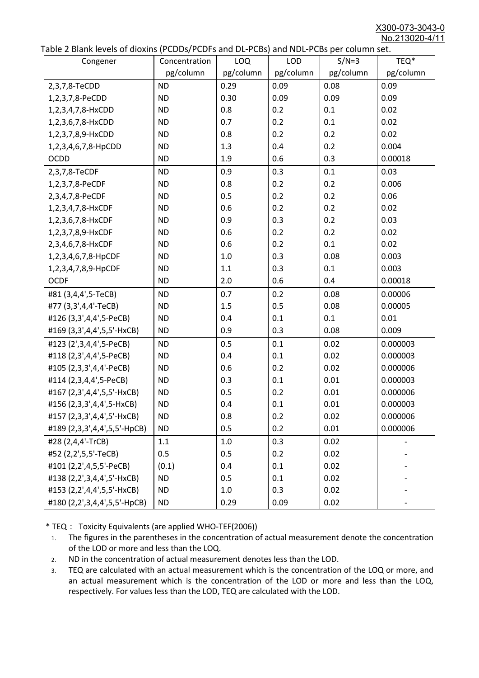X300-073-3043-0 No.213020-4/11

| abic 2 Diarik icveis of dioxins (I CDD3/TCDTs and DET CD3/ and NDET CD3 pcr column sett.<br>Congener | Concentration | <b>LOQ</b> | <b>LOD</b> | $S/N=3$   | TEQ*      |
|------------------------------------------------------------------------------------------------------|---------------|------------|------------|-----------|-----------|
|                                                                                                      | pg/column     | pg/column  | pg/column  | pg/column | pg/column |
| 2,3,7,8-TeCDD                                                                                        | <b>ND</b>     | 0.29       | 0.09       | 0.08      | 0.09      |
| 1,2,3,7,8-PeCDD                                                                                      | <b>ND</b>     | 0.30       | 0.09       | 0.09      | 0.09      |
| 1,2,3,4,7,8-HxCDD                                                                                    | <b>ND</b>     | 0.8        | 0.2        | 0.1       | 0.02      |
| 1,2,3,6,7,8-HxCDD                                                                                    | <b>ND</b>     | 0.7        | 0.2        | 0.1       | 0.02      |
| 1,2,3,7,8,9-HxCDD                                                                                    | <b>ND</b>     | 0.8        | 0.2        | 0.2       | 0.02      |
| 1,2,3,4,6,7,8-HpCDD                                                                                  | <b>ND</b>     | 1.3        | 0.4        | 0.2       | 0.004     |
| <b>OCDD</b>                                                                                          | <b>ND</b>     | 1.9        | 0.6        | 0.3       | 0.00018   |
| 2,3,7,8-TeCDF                                                                                        | <b>ND</b>     | 0.9        | 0.3        | 0.1       | 0.03      |
| 1,2,3,7,8-PeCDF                                                                                      | <b>ND</b>     | 0.8        | 0.2        | 0.2       | 0.006     |
| 2,3,4,7,8-PeCDF                                                                                      | <b>ND</b>     | 0.5        | 0.2        | 0.2       | 0.06      |
| 1,2,3,4,7,8-HxCDF                                                                                    | <b>ND</b>     | 0.6        | 0.2        | 0.2       | 0.02      |
| 1,2,3,6,7,8-HxCDF                                                                                    | <b>ND</b>     | 0.9        | 0.3        | 0.2       | 0.03      |
| 1,2,3,7,8,9-HxCDF                                                                                    | <b>ND</b>     | 0.6        | 0.2        | 0.2       | 0.02      |
| 2,3,4,6,7,8-HxCDF                                                                                    | <b>ND</b>     | 0.6        | 0.2        | 0.1       | 0.02      |
| 1,2,3,4,6,7,8-HpCDF                                                                                  | <b>ND</b>     | 1.0        | 0.3        | 0.08      | 0.003     |
| 1,2,3,4,7,8,9-HpCDF                                                                                  | <b>ND</b>     | 1.1        | 0.3        | 0.1       | 0.003     |
| <b>OCDF</b>                                                                                          | <b>ND</b>     | 2.0        | 0.6        | 0.4       | 0.00018   |
| #81 (3,4,4',5-TeCB)                                                                                  | <b>ND</b>     | 0.7        | 0.2        | 0.08      | 0.00006   |
| #77 (3,3',4,4'-TeCB)                                                                                 | <b>ND</b>     | 1.5        | 0.5        | 0.08      | 0.00005   |
| #126 (3,3',4,4',5-PeCB)                                                                              | <b>ND</b>     | 0.4        | 0.1        | 0.1       | 0.01      |
| #169 (3,3',4,4',5,5'-HxCB)                                                                           | <b>ND</b>     | 0.9        | 0.3        | 0.08      | 0.009     |
| #123 (2',3,4,4',5-PeCB)                                                                              | <b>ND</b>     | 0.5        | 0.1        | 0.02      | 0.000003  |
| #118 (2,3',4,4',5-PeCB)                                                                              | <b>ND</b>     | 0.4        | 0.1        | 0.02      | 0.000003  |
| #105 (2,3,3',4,4'-PeCB)                                                                              | <b>ND</b>     | 0.6        | 0.2        | 0.02      | 0.000006  |
| #114 (2,3,4,4',5-PeCB)                                                                               | <b>ND</b>     | 0.3        | 0.1        | 0.01      | 0.000003  |
| #167 (2,3',4,4',5,5'-HxCB)                                                                           | <b>ND</b>     | 0.5        | 0.2        | 0.01      | 0.000006  |
| #156 (2,3,3',4,4',5-HxCB)                                                                            | <b>ND</b>     | 0.4        | 0.1        | 0.01      | 0.000003  |
| #157 (2,3,3',4,4',5'-HxCB)                                                                           | <b>ND</b>     | 0.8        | 0.2        | 0.02      | 0.000006  |
| #189 (2,3,3',4,4',5,5'-HpCB)                                                                         | <b>ND</b>     | 0.5        | 0.2        | 0.01      | 0.000006  |
| #28 (2,4,4'-TrCB)                                                                                    | 1.1           | 1.0        | 0.3        | 0.02      |           |
| #52 (2,2',5,5'-TeCB)                                                                                 | 0.5           | 0.5        | 0.2        | 0.02      |           |
| #101 (2,2',4,5,5'-PeCB)                                                                              | (0.1)         | 0.4        | 0.1        | 0.02      |           |
| #138 (2,2',3,4,4',5'-HxCB)                                                                           | <b>ND</b>     | 0.5        | 0.1        | 0.02      |           |
| #153 (2,2',4,4',5,5'-HxCB)                                                                           | <b>ND</b>     | 1.0        | 0.3        | 0.02      |           |
| #180 (2,2',3,4,4',5,5'-HpCB)                                                                         | <b>ND</b>     | 0.29       | 0.09       | 0.02      |           |

\* TEQ: Toxicity Equivalents (are applied WHO-TEF(2006))

- 1. The figures in the parentheses in the concentration of actual measurement denote the concentration of the LOD or more and less than the LOQ.
- 2. ND in the concentration of actual measurement denotes less than the LOD.
- 3. TEQ are calculated with an actual measurement which is the concentration of the LOQ or more, and an actual measurement which is the concentration of the LOD or more and less than the LOQ, respectively. For values less than the LOD, TEQ are calculated with the LOD.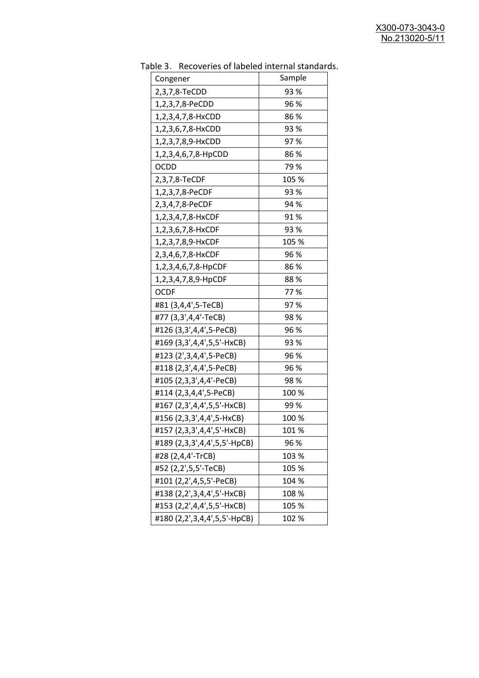| uwic J.<br><b>INCLUSION INTO THE MANUSCRY INTO THE STATISTICS</b> |        |
|-------------------------------------------------------------------|--------|
| Congener                                                          | Sample |
| 2,3,7,8-TeCDD                                                     | 93 %   |
| 1,2,3,7,8-PeCDD                                                   | 96 %   |
| 1,2,3,4,7,8-HxCDD                                                 | 86%    |
| 1,2,3,6,7,8-HxCDD                                                 | 93 %   |
| 1,2,3,7,8,9-HxCDD                                                 | 97%    |
| 1,2,3,4,6,7,8-HpCDD                                               | 86%    |
| OCDD                                                              | 79 %   |
| 2,3,7,8-TeCDF                                                     | 105 %  |
| 1,2,3,7,8-PeCDF                                                   | 93 %   |
| 2,3,4,7,8-PeCDF                                                   | 94 %   |
| 1,2,3,4,7,8-HxCDF                                                 | 91%    |
| 1,2,3,6,7,8-HxCDF                                                 | 93 %   |
| 1,2,3,7,8,9-HxCDF                                                 | 105 %  |
| 2,3,4,6,7,8-HxCDF                                                 | 96 %   |
| 1,2,3,4,6,7,8-HpCDF                                               | 86 %   |
| 1,2,3,4,7,8,9-HpCDF                                               | 88%    |
| <b>OCDF</b>                                                       | 77%    |
| #81 (3,4,4',5-TeCB)                                               | 97%    |
| #77 (3,3',4,4'-TeCB)                                              | 98%    |
| #126 (3,3',4,4',5-PeCB)                                           | 96 %   |
| #169 (3,3',4,4',5,5'-HxCB)                                        | 93 %   |
| #123 (2', 3, 4, 4', 5-PeCB)                                       | 96 %   |
| #118 (2,3',4,4',5-PeCB)                                           | 96 %   |
| #105 (2,3,3',4,4'-PeCB)                                           | 98 %   |
| #114 (2,3,4,4',5-PeCB)                                            | 100 %  |
| #167 (2,3',4,4',5,5'-HxCB)                                        | 99 %   |
| #156 (2,3,3',4,4',5-HxCB)                                         | 100 %  |
| #157 (2,3,3',4,4',5'-HxCB)                                        | 101 %  |
| #189 (2,3,3',4,4',5,5'-HpCB)                                      | 96 %   |
| #28 (2,4,4'-TrCB)                                                 | 103 %  |
| #52 (2,2',5,5'-TeCB)                                              | 105 %  |
| #101 (2,2',4,5,5'-PeCB)                                           | 104 %  |
| #138 (2,2',3,4,4',5'-HxCB)                                        | 108 %  |
| #153 (2,2',4,4',5,5'-HxCB)                                        | 105 %  |
| #180 (2,2',3,4,4',5,5'-HpCB)                                      | 102 %  |
|                                                                   |        |

Table 3. Recoveries of labeled internal standards.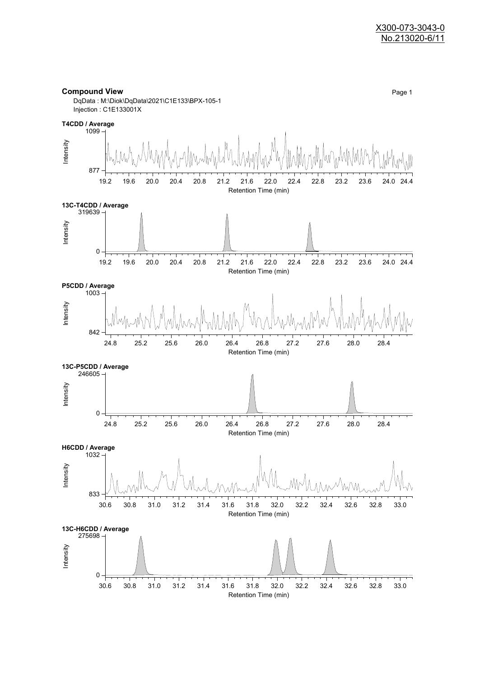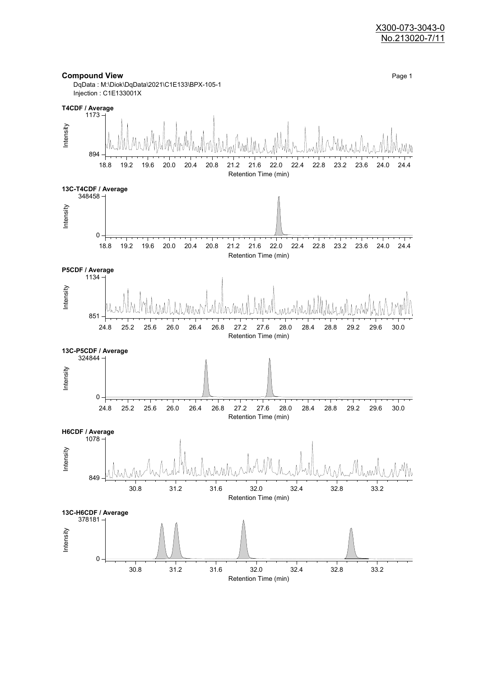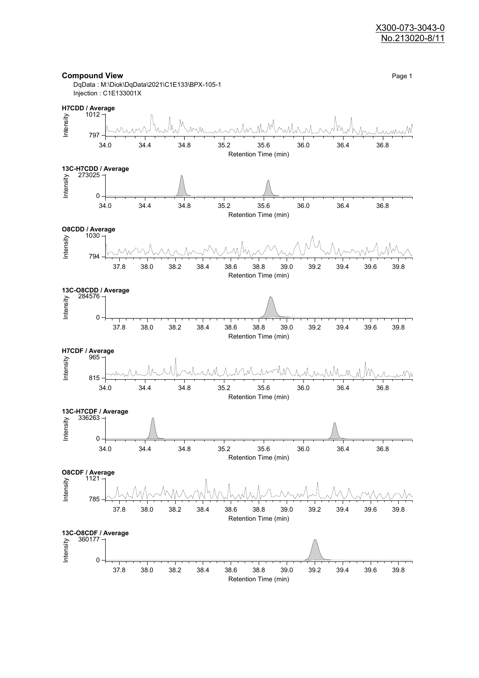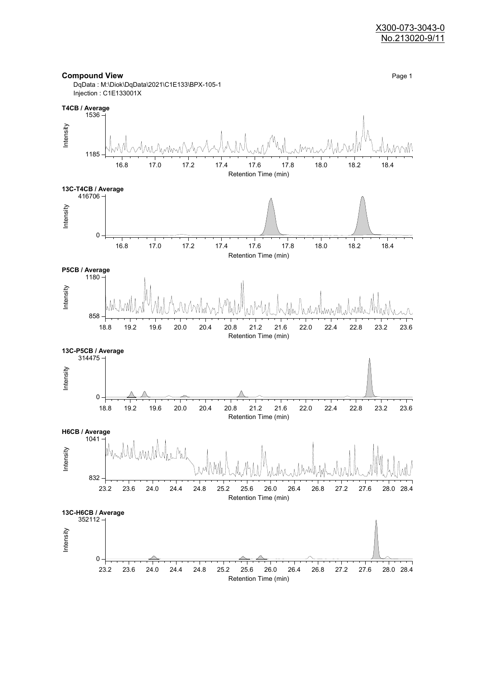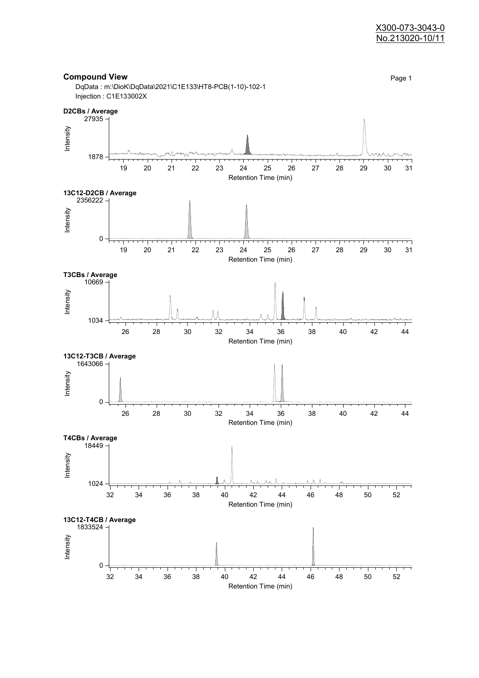